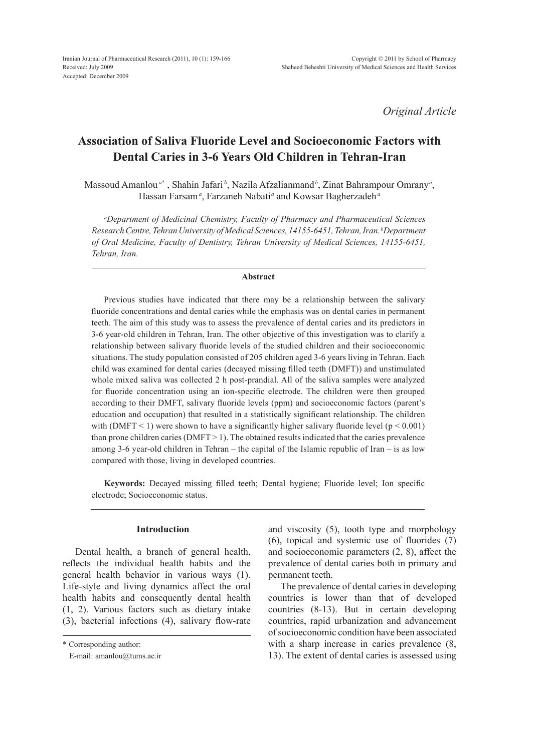*Original Article*

# **Association of Saliva Fluoride Level and Socioeconomic Factors with Dental Caries in 3-6 Years Old Children in Tehran-Iran**

Massoud Amanlou<sup>a\*</sup> , Shahin Jafari<sup>b</sup>, Nazila Afzalianmand<sup>b</sup>, Zinat Bahrampour Omrany<sup>a</sup>, Hassan Farsam*<sup>a</sup>* , Farzaneh Nabati*<sup>a</sup>* and Kowsar Bagherzadeh*<sup>a</sup>*

*a Department of Medicinal Chemistry, Faculty of Pharmacy and Pharmaceutical Sciences Research Centre, Tehran University of Medical Sciences, 14155-6451, Tehran, Iran. bDepartment of Oral Medicine, Faculty of Dentistry, Tehran University of Medical Sciences, 14155-6451, Tehran, Iran.*

#### **Abstract**

Previous studies have indicated that there may be a relationship between the salivary fluoride concentrations and dental caries while the emphasis was on dental caries in permanent teeth. The aim of this study was to assess the prevalence of dental caries and its predictors in 3-6 year-old children in Tehran, Iran. The other objective of this investigation was to clarify a relationship between salivary fluoride levels of the studied children and their socioeconomic situations. The study population consisted of 205 children aged 3-6 years living in Tehran. Each child was examined for dental caries (decayed missing filled teeth (DMFT)) and unstimulated whole mixed saliva was collected 2 h post-prandial. All of the saliva samples were analyzed for fluoride concentration using an ion-specific electrode. The children were then grouped according to their DMFT, salivary fluoride levels (ppm) and socioeconomic factors (parent's education and occupation) that resulted in a statistically significant relationship. The children with (DMFT < 1) were shown to have a significantly higher salivary fluoride level ( $p < 0.001$ ) than prone children caries ( $\text{DMFT} > 1$ ). The obtained results indicated that the caries prevalence among 3-6 year-old children in Tehran – the capital of the Islamic republic of Iran – is as low compared with those, living in developed countries.

**Keywords:** Decayed missing filled teeth; Dental hygiene; Fluoride level; Ion specific electrode; Socioeconomic status.

# **Introduction**

Dental health, a branch of general health, reflects the individual health habits and the general health behavior in various ways (1). Life-style and living dynamics affect the oral health habits and consequently dental health (1, 2). Various factors such as dietary intake (3), bacterial infections (4), salivary flow-rate and viscosity (5), tooth type and morphology (6), topical and systemic use of fluorides (7) and socioeconomic parameters (2, 8), affect the prevalence of dental caries both in primary and permanent teeth.

The prevalence of dental caries in developing countries is lower than that of developed countries (8-13). But in certain developing countries, rapid urbanization and advancement of socioeconomic condition have been associated with a sharp increase in caries prevalence  $(8, 1)$ 13). The extent of dental caries is assessed using

<sup>\*</sup> Corresponding author:

E-mail: amanlou@tums.ac.ir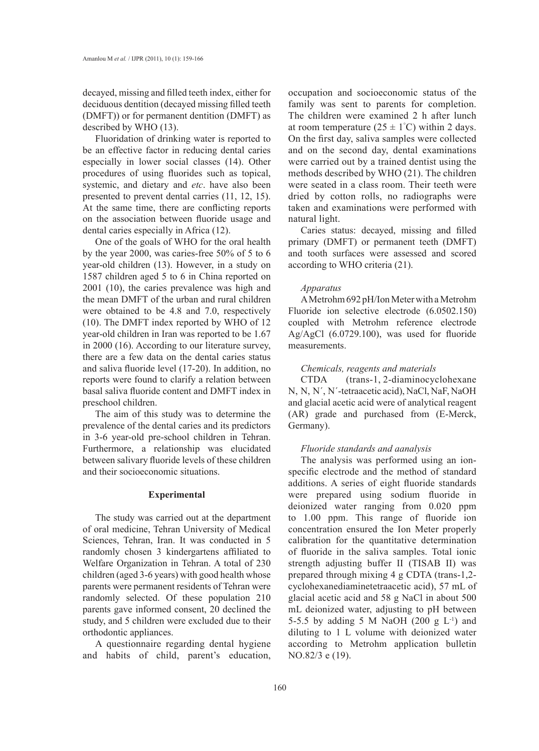decayed, missing and filled teeth index, either for deciduous dentition (decayed missing filled teeth (DMFT)) or for permanent dentition (DMFT) as described by WHO (13).

Fluoridation of drinking water is reported to be an effective factor in reducing dental caries especially in lower social classes (14). Other procedures of using fluorides such as topical, systemic, and dietary and *etc*. have also been presented to prevent dental carries (11, 12, 15). At the same time, there are conflicting reports on the association between fluoride usage and dental caries especially in Africa (12).

One of the goals of WHO for the oral health by the year 2000, was caries-free 50% of 5 to 6 year-old children (13). However, in a study on 1587 children aged 5 to 6 in China reported on 2001 (10), the caries prevalence was high and the mean DMFT of the urban and rural children were obtained to be 4.8 and 7.0, respectively (10). The DMFT index reported by WHO of 12 year-old children in Iran was reported to be 1.67 in 2000 (16). According to our literature survey, there are a few data on the dental caries status and saliva fluoride level (17-20). In addition, no reports were found to clarify a relation between basal saliva fluoride content and DMFT index in preschool children.

The aim of this study was to determine the prevalence of the dental caries and its predictors in 3-6 year-old pre-school children in Tehran. Furthermore, a relationship was elucidated between salivary fluoride levels of these children and their socioeconomic situations.

### **Experimental**

The study was carried out at the department of oral medicine, Tehran University of Medical Sciences, Tehran, Iran. It was conducted in 5 randomly chosen 3 kindergartens affiliated to Welfare Organization in Tehran. A total of 230 children (aged 3-6 years) with good health whose parents were permanent residents of Tehran were randomly selected. Of these population 210 parents gave informed consent, 20 declined the study, and 5 children were excluded due to their orthodontic appliances.

A questionnaire regarding dental hygiene and habits of child, parent's education, occupation and socioeconomic status of the family was sent to parents for completion. The children were examined 2 h after lunch at room temperature  $(25 \pm 1^{\circ}C)$  within 2 days. On the first day, saliva samples were collected and on the second day, dental examinations were carried out by a trained dentist using the methods described by WHO (21). The children were seated in a class room. Their teeth were dried by cotton rolls, no radiographs were taken and examinations were performed with natural light.

Caries status: decayed, missing and filled primary (DMFT) or permanent teeth (DMFT) and tooth surfaces were assessed and scored according to WHO criteria (21).

### *Apparatus*

A Metrohm 692 pH/Ion Meter with a Metrohm Fluoride ion selective electrode (6.0502.150) coupled with Metrohm reference electrode Ag/AgCl (6.0729.100), was used for fluoride measurements.

#### *Chemicals, reagents and materials*

CTDA (trans-1, 2-diaminocyclohexane N, N, N΄, N΄-tetraacetic acid), NaCl, NaF, NaOH and glacial acetic acid were of analytical reagent (AR) grade and purchased from (E-Merck, Germany).

## *Fluoride standards and aanalysis*

The analysis was performed using an ionspecific electrode and the method of standard additions. A series of eight fluoride standards were prepared using sodium fluoride in deionized water ranging from 0.020 ppm to 1.00 ppm. This range of fluoride ion concentration ensured the Ion Meter properly calibration for the quantitative determination of fluoride in the saliva samples. Total ionic strength adjusting buffer II (TISAB II) was prepared through mixing 4 g CDTA (trans-1,2 cyclohexanediaminetetraacetic acid), 57 mL of glacial acetic acid and 58 g NaCl in about 500 mL deionized water, adjusting to pH between 5-5.5 by adding 5 M NaOH (200 g  $L^{-1}$ ) and diluting to 1 L volume with deionized water according to Metrohm application bulletin NO.82/3 e (19).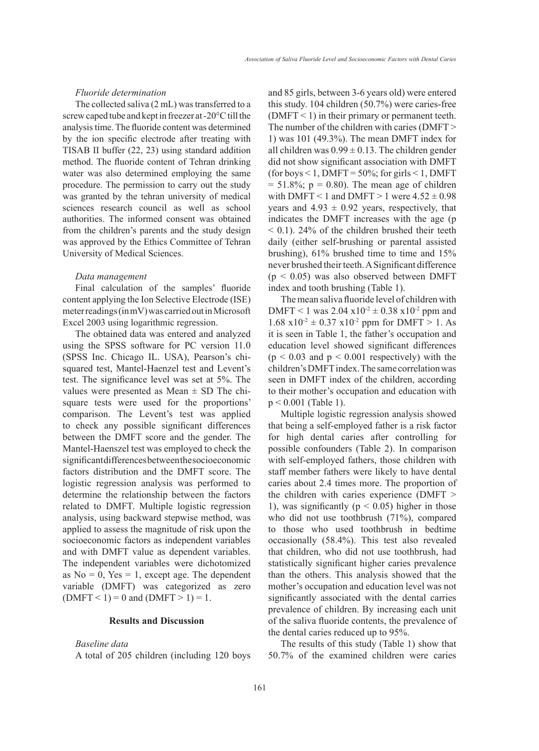## *Fluoride determination*

The collected saliva (2 mL) was transferred to a screw caped tube and kept in freezer at -20°C till the analysis time. The fluoride content was determined by the ion specific electrode after treating with TISAB II buffer (22, 23) using standard addition method. The fluoride content of Tehran drinking water was also determined employing the same procedure. The permission to carry out the study was granted by the tehran university of medical sciences research council as well as school authorities. The informed consent was obtained from the children's parents and the study design was approved by the Ethics Committee of Tehran University of Medical Sciences.

#### *Data management*

Final calculation of the samples' fluoride content applying the Ion Selective Electrode (ISE) meter readings (in mV) was carried out in Microsoft Excel 2003 using logarithmic regression.

The obtained data was entered and analyzed using the SPSS software for PC version 11.0 (SPSS Inc. Chicago IL. USA), Pearson's chisquared test, Mantel-Haenzel test and Levent's test. The significance level was set at 5%. The values were presented as Mean  $\pm$  SD The chisquare tests were used for the proportions' comparison. The Levent's test was applied to check any possible significant differences between the DMFT score and the gender. The Mantel-Haenszel test was employed to check the significant differences between the socioeconomic factors distribution and the DMFT score. The logistic regression analysis was performed to determine the relationship between the factors related to DMFT. Multiple logistic regression analysis, using backward stepwise method, was applied to assess the magnitude of risk upon the socioeconomic factors as independent variables and with DMFT value as dependent variables. The independent variables were dichotomized as  $No = 0$ ,  $Yes = 1$ , except age. The dependent variable (DMFT) was categorized as zero  $(DMFT < 1) = 0$  and  $(DMFT > 1) = 1$ .

### **Results and Discussion**

# *Baseline data*

A total of 205 children (including 120 boys

and 85 girls, between 3-6 years old) were entered this study. 104 children (50.7%) were caries-free (DMFT  $\leq$  1) in their primary or permanent teeth. The number of the children with caries (DMFT > 1) was 101 (49.3%). The mean DMFT index for all children was  $0.99 \pm 0.13$ . The children gender did not show significant association with DMFT (for boys  $\leq 1$ , DMFT = 50%; for girls  $\leq 1$ , DMFT  $= 51.8\%$ ; p = 0.80). The mean age of children with DMFT < 1 and DMFT > 1 were  $4.52 \pm 0.98$ years and  $4.93 \pm 0.92$  years, respectively, that indicates the DMFT increases with the age (p  $<$  0.1). 24% of the children brushed their teeth daily (either self-brushing or parental assisted brushing), 61% brushed time to time and 15% never brushed their teeth. A Significant difference  $(p < 0.05)$  was also observed between DMFT index and tooth brushing (Table 1).

The mean saliva fluoride level of children with DMFT < 1 was  $2.04 \times 10^{-2} \pm 0.38 \times 10^{-2}$  ppm and  $1.68 \text{ x}10^{-2} \pm 0.37 \text{ x}10^{-2} \text{ ppm}$  for DMFT  $> 1$ . As it is seen in Table 1, the father's occupation and education level showed significant differences  $(p < 0.03$  and  $p < 0.001$  respectively) with the children's DMFT index. The same correlation was seen in DMFT index of the children, according to their mother's occupation and education with p < 0.001 (Table 1).

Multiple logistic regression analysis showed that being a self-employed father is a risk factor for high dental caries after controlling for possible confounders (Table 2). In comparison with self-employed fathers, those children with staff member fathers were likely to have dental caries about 2.4 times more. The proportion of the children with caries experience (DMFT > 1), was significantly ( $p < 0.05$ ) higher in those who did not use toothbrush (71%), compared to those who used toothbrush in bedtime occasionally (58.4%). This test also revealed that children, who did not use toothbrush, had statistically significant higher caries prevalence than the others. This analysis showed that the mother's occupation and education level was not significantly associated with the dental carries prevalence of children. By increasing each unit of the saliva fluoride contents, the prevalence of the dental caries reduced up to 95%.

The results of this study (Table 1) show that 50.7% of the examined children were caries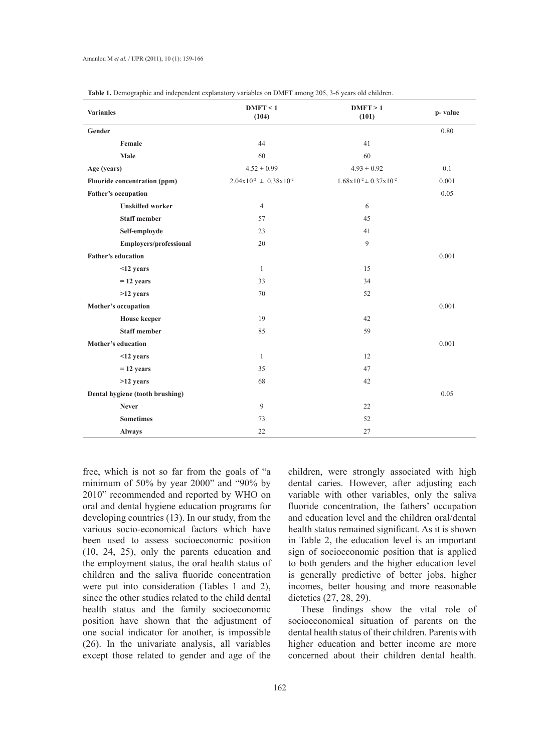| <b>Varianles</b>                    | DMFT < 1<br>(104)               | DMFT > 1<br>(101)             | p-value |
|-------------------------------------|---------------------------------|-------------------------------|---------|
| Gender                              |                                 |                               | 0.80    |
| Female                              | 44                              | 41                            |         |
| Male                                | 60                              | 60                            |         |
| Age (years)                         | $4.52 \pm 0.99$                 | $4.93 \pm 0.92$               | 0.1     |
| <b>Fluoride concentration (ppm)</b> | $2.04x10^{-2} \pm 0.38x10^{-2}$ | $1.68x10^{2} \pm 0.37x10^{2}$ | 0.001   |
| <b>Father's occupation</b>          |                                 |                               | 0.05    |
| <b>Unskilled</b> worker             | $\overline{4}$                  | 6                             |         |
| <b>Staff member</b>                 | 57                              | 45                            |         |
| Self-employde                       | 23                              | 41                            |         |
| <b>Employers/professional</b>       | 20                              | 9                             |         |
| <b>Father's education</b>           |                                 |                               | 0.001   |
| <12 years                           | $\mathbf{1}$                    | 15                            |         |
| $= 12$ years                        | 33                              | 34                            |         |
| >12 years                           | 70                              | 52                            |         |
| Mother's occupation                 |                                 |                               | 0.001   |
| <b>House</b> keeper                 | 19                              | 42                            |         |
| <b>Staff member</b>                 | 85                              | 59                            |         |
| <b>Mother's education</b>           |                                 |                               | 0.001   |
| <12 years                           | $\mathbf{1}$                    | 12                            |         |
| $= 12$ years                        | 35                              | 47                            |         |
| >12 years                           | 68                              | 42                            |         |
| Dental hygiene (tooth brushing)     |                                 |                               | 0.05    |
| <b>Never</b>                        | 9                               | 22                            |         |
| <b>Sometimes</b>                    | 73                              | 52                            |         |
| <b>Always</b>                       | 22                              | 27                            |         |

**Table 1.** Demographic and independent explanatory variables on DMFT among 205, 3-6 years old children.

free, which is not so far from the goals of "a minimum of 50% by year 2000" and "90% by 2010" recommended and reported by WHO on oral and dental hygiene education programs for developing countries (13). In our study, from the various socio-economical factors which have been used to assess socioeconomic position (10, 24, 25), only the parents education and the employment status, the oral health status of children and the saliva fluoride concentration were put into consideration (Tables 1 and 2), since the other studies related to the child dental health status and the family socioeconomic position have shown that the adjustment of one social indicator for another, is impossible (26). In the univariate analysis, all variables except those related to gender and age of the

children, were strongly associated with high dental caries. However, after adjusting each variable with other variables, only the saliva fluoride concentration, the fathers' occupation and education level and the children oral/dental health status remained significant. As it is shown in Table 2, the education level is an important sign of socioeconomic position that is applied to both genders and the higher education level is generally predictive of better jobs, higher incomes, better housing and more reasonable dietetics (27, 28, 29).

These findings show the vital role of socioeconomical situation of parents on the dental health status of their children. Parents with higher education and better income are more concerned about their children dental health.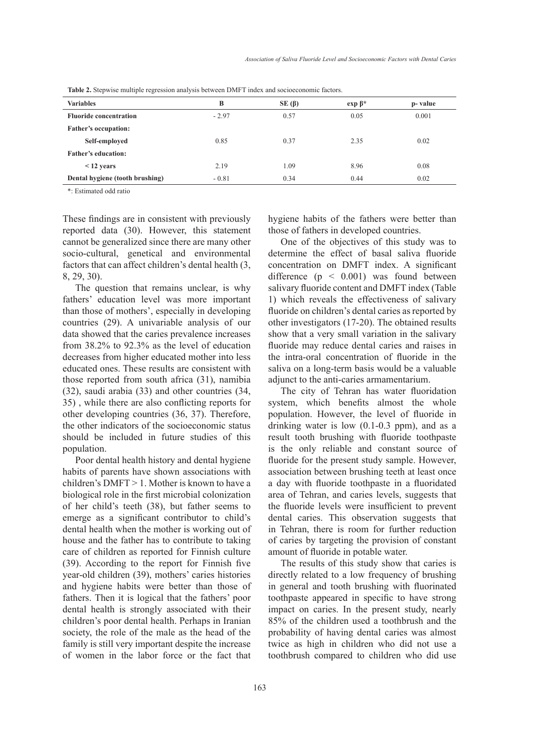| <b>Variables</b>                | B       | $SE(\beta)$ | $exp \beta^*$ | p- value |
|---------------------------------|---------|-------------|---------------|----------|
| <b>Fluoride concentration</b>   | $-2.97$ | 0.57        | 0.05          | 0.001    |
| <b>Father's occupation:</b>     |         |             |               |          |
| Self-employed                   | 0.85    | 0.37        | 2.35          | 0.02     |
| <b>Father's education:</b>      |         |             |               |          |
| $<$ 12 years                    | 2.19    | 1.09        | 8.96          | 0.08     |
| Dental hygiene (tooth brushing) | $-0.81$ | 0.34        | 0.44          | 0.02     |

**Table 2.** Stepwise multiple regression analysis between DMFT index and socioeconomic factors.

\*: Estimated odd ratio

These findings are in consistent with previously reported data (30). However, this statement cannot be generalized since there are many other socio-cultural, genetical and environmental factors that can affect children's dental health (3, 8, 29, 30).

The question that remains unclear, is why fathers' education level was more important than those of mothers', especially in developing countries (29). A univariable analysis of our data showed that the caries prevalence increases from 38.2% to 92.3% as the level of education decreases from higher educated mother into less educated ones. These results are consistent with those reported from south africa (31), namibia (32), saudi arabia (33) and other countries (34, 35) , while there are also conflicting reports for other developing countries (36, 37). Therefore, the other indicators of the socioeconomic status should be included in future studies of this population.

Poor dental health history and dental hygiene habits of parents have shown associations with children's  $DMFT > 1$ . Mother is known to have a biological role in the first microbial colonization of her child's teeth (38), but father seems to emerge as a significant contributor to child's dental health when the mother is working out of house and the father has to contribute to taking care of children as reported for Finnish culture (39). According to the report for Finnish five year-old children (39), mothers' caries histories and hygiene habits were better than those of fathers. Then it is logical that the fathers' poor dental health is strongly associated with their children's poor dental health. Perhaps in Iranian society, the role of the male as the head of the family is still very important despite the increase of women in the labor force or the fact that

hygiene habits of the fathers were better than those of fathers in developed countries.

One of the objectives of this study was to determine the effect of basal saliva fluoride concentration on DMFT index. A significant difference  $(p \leq 0.001)$  was found between salivary fluoride content and DMFT index (Table 1) which reveals the effectiveness of salivary fluoride on children's dental caries as reported by other investigators (17-20). The obtained results show that a very small variation in the salivary fluoride may reduce dental caries and raises in the intra-oral concentration of fluoride in the saliva on a long-term basis would be a valuable adjunct to the anti-caries armamentarium.

The city of Tehran has water fluoridation system, which benefits almost the whole population. However, the level of fluoride in drinking water is low (0.1-0.3 ppm), and as a result tooth brushing with fluoride toothpaste is the only reliable and constant source of fluoride for the present study sample. However, association between brushing teeth at least once a day with fluoride toothpaste in a fluoridated area of Tehran, and caries levels, suggests that the fluoride levels were insufficient to prevent dental caries. This observation suggests that in Tehran, there is room for further reduction of caries by targeting the provision of constant amount of fluoride in potable water.

The results of this study show that caries is directly related to a low frequency of brushing in general and tooth brushing with fluorinated toothpaste appeared in specific to have strong impact on caries. In the present study, nearly 85% of the children used a toothbrush and the probability of having dental caries was almost twice as high in children who did not use a toothbrush compared to children who did use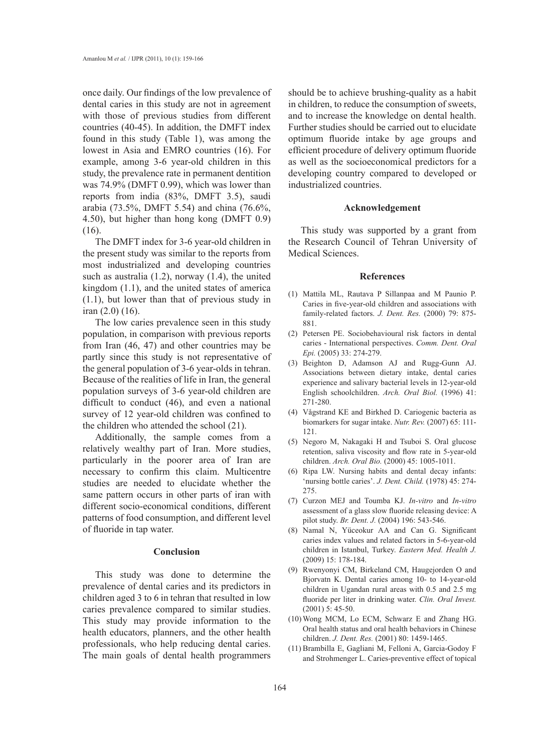once daily. Our findings of the low prevalence of dental caries in this study are not in agreement with those of previous studies from different countries (40-45). In addition, the DMFT index found in this study (Table 1), was among the lowest in Asia and EMRO countries (16). For example, among 3-6 year-old children in this study, the prevalence rate in permanent dentition was 74.9% (DMFT 0.99), which was lower than reports from india (83%, DMFT 3.5), saudi arabia (73.5%, DMFT 5.54) and china (76.6%, 4.50), but higher than hong kong (DMFT 0.9) (16).

The DMFT index for 3-6 year-old children in the present study was similar to the reports from most industrialized and developing countries such as australia (1.2), norway (1.4), the united kingdom (1.1), and the united states of america (1.1), but lower than that of previous study in iran (2.0) (16).

The low caries prevalence seen in this study population, in comparison with previous reports from Iran (46, 47) and other countries may be partly since this study is not representative of the general population of 3-6 year-olds in tehran. Because of the realities of life in Iran, the general population surveys of 3-6 year-old children are difficult to conduct (46), and even a national survey of 12 year-old children was confined to the children who attended the school (21).

Additionally, the sample comes from a relatively wealthy part of Iran. More studies, particularly in the poorer area of Iran are necessary to confirm this claim. Multicentre studies are needed to elucidate whether the same pattern occurs in other parts of iran with different socio-economical conditions, different patterns of food consumption, and different level of fluoride in tap water.

## **Conclusion**

This study was done to determine the prevalence of dental caries and its predictors in children aged 3 to 6 in tehran that resulted in low caries prevalence compared to similar studies. This study may provide information to the health educators, planners, and the other health professionals, who help reducing dental caries. The main goals of dental health programmers should be to achieve brushing-quality as a habit in children, to reduce the consumption of sweets, and to increase the knowledge on dental health. Further studies should be carried out to elucidate optimum fluoride intake by age groups and efficient procedure of delivery optimum fluoride as well as the socioeconomical predictors for a developing country compared to developed or industrialized countries.

#### **Acknowledgement**

This study was supported by a grant from the Research Council of Tehran University of Medical Sciences.

#### **References**

- Mattila ML, Rautava P Sillanpaa and M Paunio P. (1) Caries in five-year-old children and associations with family-related factors. *J. Dent. Res.* (2000) 79: 875- 881.
- Petersen PE. Sociobehavioural risk factors in dental (2) caries - International perspectives. *Comm. Dent. Oral Epi.* (2005) 33: 274-279.
- Beighton D, Adamson AJ and Rugg-Gunn AJ. (3) Associations between dietary intake, dental caries experience and salivary bacterial levels in 12-year-old English schoolchildren. *Arch. Oral Biol.* (1996) 41: 271-280.
- Vågstrand KE and Birkhed D. Cariogenic bacteria as (4) biomarkers for sugar intake. *Nutr. Rev.* (2007) 65: 111- 121.
- Negoro M, Nakagaki H and Tsuboi S. Oral glucose (5) retention, saliva viscosity and flow rate in 5-year-old children. *Arch. Oral Bio.* (2000) 45: 1005-1011.
- (6) Ripa LW. Nursing habits and dental decay infants: 'nursing bottle caries'. *J. Dent. Child.* (1978) 45: 274- 275.
- Curzon MEJ and Toumba KJ. *In-vitro* and *In-vitro* (7) assessment of a glass slow fluoride releasing device: A pilot study. *Br. Dent. J.* (2004) 196: 543-546.
- (8) Namal N, Yüceokur AA and Can G. Significant caries index values and related factors in 5-6-year-old children in Istanbul, Turkey. *Eastern Med. Health J.*  (2009) 15: 178-184.
- Rwenyonyi CM, Birkeland CM, Haugejorden O and (9) Bjorvatn K. Dental caries among 10- to 14-year-old children in Ugandan rural areas with 0.5 and 2.5 mg fluoride per liter in drinking water. *Clin. Oral Invest.*  (2001) 5: 45-50.
- Wong MCM, Lo ECM, Schwarz E and Zhang HG. (10) Oral health status and oral health behaviors in Chinese children. *J. Dent. Res.* (2001) 80: 1459-1465.
- (11) Brambilla E, Gagliani M, Felloni A, Garcia-Godoy F and Strohmenger L. Caries-preventive effect of topical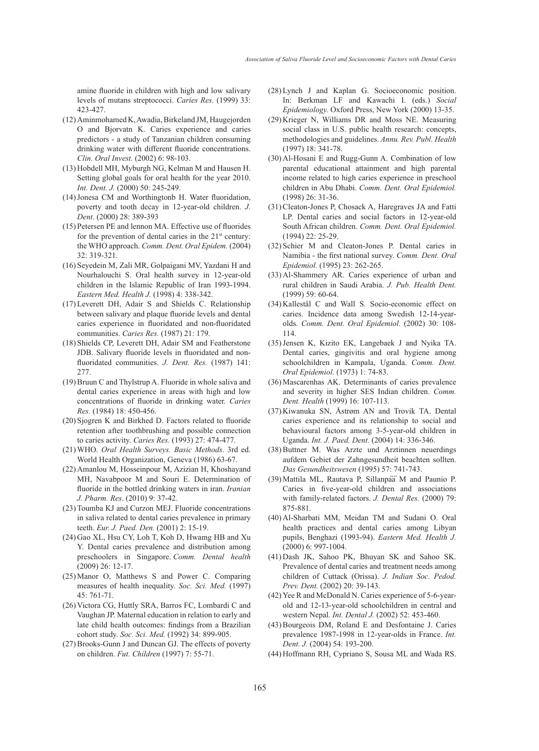amine fluoride in children with high and low salivary levels of mutans streptococci. *Caries Res*. (1999) 33: 423-427.

- Aminmohamed K, Awadia, Birkeland JM, Haugejorden (12) O and Bjorvatn K. Caries experience and caries predictors - a study of Tanzanian children consuming drinking water with different fluoride concentrations. *Clin. Oral Invest.* (2002) 6: 98-103.
- (13) Hobdell MH, Myburgh NG, Kelman M and Hausen H. Setting global goals for oral health for the year 2010. *Int. Dent. J.* (2000) 50: 245-249.
- (14) Jonesa CM and Worthingtonb H. Water fluoridation, poverty and tooth decay in 12-year-old children. *J. Dent*. (2000) 28: 389-393
- $(15)$  Petersen PE and lennon MA. Effective use of fluorides for the prevention of dental caries in the  $21<sup>st</sup>$  century: the WHO approach. *Comm. Dent. Oral Epidem.* (2004) 32: 319-321.
- (16) Seyedein M, Zali MR, Golpaigani MV, Yazdani H and Nourhalouchi S. Oral health survey in 12-year-old children in the Islamic Republic of Iran 1993-1994. *Eastern Med. Health J.* (1998) 4: 338-342.
- Leverett DH, Adair S and Shields C. Relationship (17) between salivary and plaque fluoride levels and dental caries experience in fluoridated and non-fluoridated communities. *Caries Res.* (1987) 21: 179.
- (18) Shields CP, Leverett DH, Adair SM and Featherstone JDB. Salivary fluoride levels in fluoridated and nonfluoridated communities. *J. Dent. Res.* (1987) 141: 277.
- $(19)$  Bruun C and Thylstrup A. Fluoride in whole saliva and dental caries experience in areas with high and low concentrations of fluoride in drinking water. *Caries Res.* (1984) 18: 450-456.
- $(20)$  Sjogren K and Birkhed D. Factors related to fluoride retention after toothbrushing and possible connection to caries activity. *Caries Res.* (1993) 27: 474-477.
- WHO. *Oral Health Surveys. Basic Methods*. 3rd ed. (21) World Health Organization, Geneva (1986) 63-67.
- (22) Amanlou M, Hosseinpour M, Azizian H, Khoshayand MH, Navabpoor M and Souri E. Determination of fluoride in the bottled drinking waters in iran. *Iranian J. Pharm. Res*. (2010) 9: 37-42.
- (23) Toumba KJ and Curzon MEJ. Fluoride concentrations in saliva related to dental caries prevalence in primary teeth. *Eur. J. Paed. Den.* (2001) 2: 15-19.
- (24) Gao XL, Hsu CY, Loh T, Koh D, Hwamg HB and Xu Y. Dental caries prevalence and distribution among preschoolers in Singapore. *Comm. Dental health* (2009) 26: 12-17.
- $(25)$  Manor O, Matthews S and Power C. Comparing measures of health inequality. *Soc. Sci. Med.* (1997) 45: 761-71.
- (26) Victora CG, Huttly SRA, Barros FC, Lombardi C and Vaughan JP. Maternal education in relation to early and late child health outcomes: findings from a Brazilian cohort study. *Soc. Sci. Med.* (1992) 34: 899-905.
- (27) Brooks-Gunn J and Duncan GJ. The effects of poverty on children. *Fut. Children* (1997) 7: 55-71.
- Lynch J and Kaplan G. Socioeconomic position. (28) In: Berkman LF and Kawachi I. (eds.) *Social Epidemiology.* Oxford Press, New York (2000) 13-35.
- $(29)$  Krieger N, Williams DR and Moss NE. Measuring social class in U.S. public health research: concepts, methodologies and guidelines. *Annu. Rev. Publ. Health*  (1997) 18: 341-78.
- $(30)$  Al-Hosani E and Rugg-Gunn A. Combination of low parental educational attainment and high parental income related to high caries experience in preschool children in Abu Dhabi. *Comm. Dent. Oral Epidemiol.* (1998) 26: 31-36.
- (31) Cleaton-Jones P, Chosack A, Haregraves JA and Fatti LP. Dental caries and social factors in 12-year-old South African children. *Comm. Dent. Oral Epidemiol.*  (1994) 22: 25-29.
- $(32)$  Schier M and Cleaton-Jones P. Dental caries in Namibia - the first national survey. *Comm. Dent. Oral Epidemiol.* (1995) 23: 262-265.
- (33) Al-Shammery AR. Caries experience of urban and rural children in Saudi Arabia. *J. Pub. Health Dent.*  (1999) 59: 60-64.
- (34) Kallestål C and Wall S. Socio-economic effect on caries. Incidence data among Swedish 12-14-yearolds. *Comm. Dent. Oral Epidemiol.* (2002) 30: 108- 114.
- $(35)$  Jensen K, Kizito EK, Langebaek J and Nyika TA. Dental caries, gingivitis and oral hygiene among schoolchildren in Kampala, Uganda. *Comm. Dent. Oral Epidemiol.* (1973) 1: 74-83.
- (36) Mascarenhas AK. Determinants of caries prevalence and severity in higher SES Indian children. *Comm. Dent. Health* (1999) 16: 107-113.
- (37) Kiwanuka SN, Åstrøm AN and Trovik TA. Dental caries experience and its relationship to social and behavioural factors among 3-5-year-old children in Uganda. *Int. J. Paed. Dent.* (2004) 14: 336-346.
- (38) Buttner M. Was Arzte und Arztinnen neuerdings aufdem Gebiet der Zahngesundheit beachten sollten. *Das Gesundheitswesen* (1995) 57: 741-743.
- (39) Mattila ML, Rautava P, Sillanpaä M and Paunio P. Caries in five-year-old children and associations with family-related factors. *J. Dental Res.* (2000) 79: 875-881.
- Al-Sharbati MM, Meidan TM and Sudani O. Oral (40) health practices and dental caries among Libyan pupils, Benghazi (1993-94). *Eastern Med. Health J.* (2000) 6: 997-1004.
- Dash JK, Sahoo PK, Bhuyan SK and Sahoo SK. (41) Prevalence of dental caries and treatment needs among children of Cuttack (Orissa). *J. Indian Soc. Pedod. Prev. Dent.* (2002) 20: 39-143.
- (42) Yee R and McDonald N. Caries experience of 5-6-yearold and 12-13-year-old schoolchildren in central and western Nepal. *Int. Dental J.* (2002) 52: 453-460.
- (43) Bourgeois DM, Roland E and Desfontaine J. Caries prevalence 1987-1998 in 12-year-olds in France. *Int. Dent. J.* (2004) 54: 193-200.
- (44) Hoffmann RH, Cypriano S, Sousa ML and Wada RS.